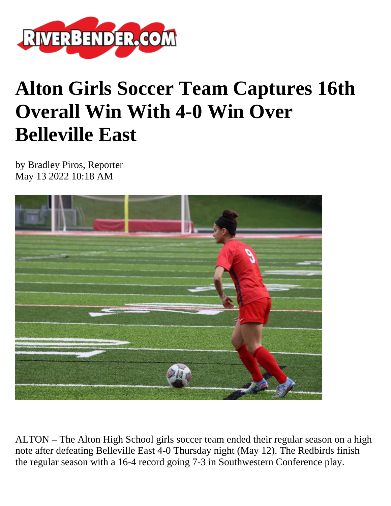

## **Alton Girls Soccer Team Captures 16th Overall Win With 4-0 Win Over Belleville East**

by Bradley Piros, Reporter May 13 2022 10:18 AM



ALTON – The Alton High School girls soccer team ended their regular season on a high note after defeating Belleville East 4-0 Thursday night (May 12). The Redbirds finish the regular season with a 16-4 record going 7-3 in Southwestern Conference play.